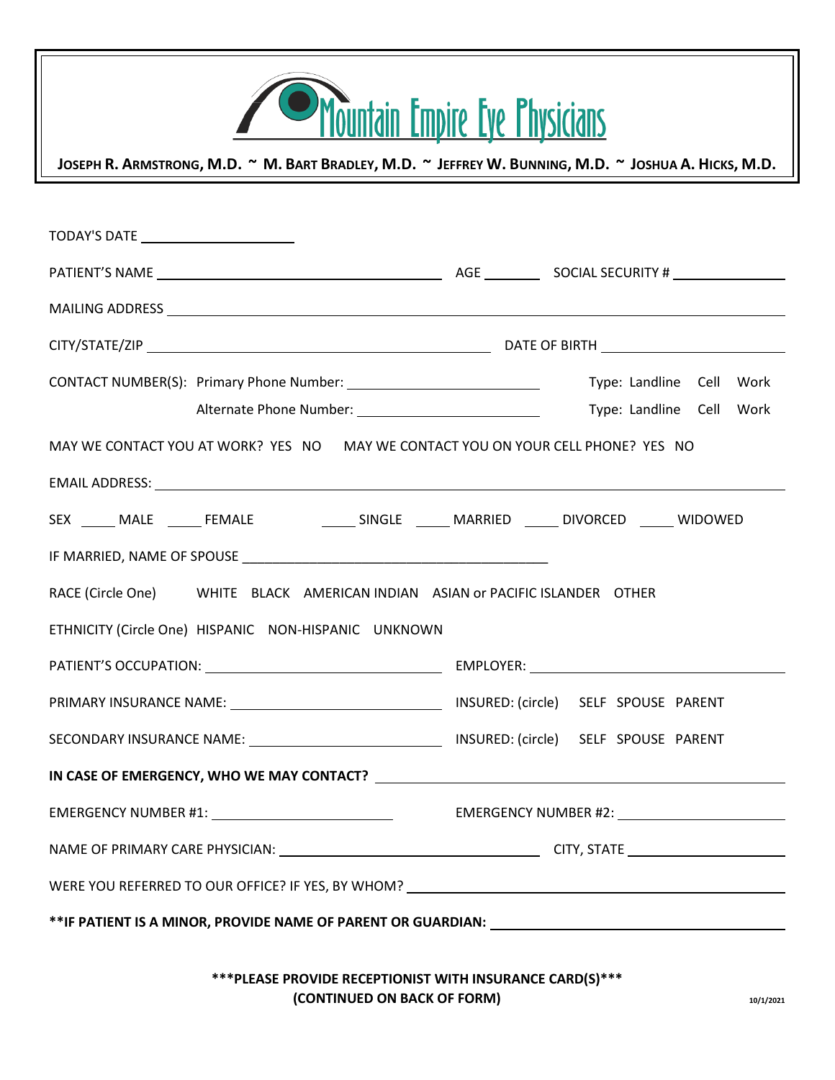|  |  | Mountain Empire Eve Physicians |
|--|--|--------------------------------|

JOSEPH R. ARMSTRONG, M.D. ~ M. BART BRADLEY, M.D. ~ JEFFREY W. BUNNING, M.D. ~ JOSHUA A. HICKS, M.D.

| TODAY'S DATE __________________________                                                               |                          |  |  |  |  |
|-------------------------------------------------------------------------------------------------------|--------------------------|--|--|--|--|
|                                                                                                       |                          |  |  |  |  |
|                                                                                                       |                          |  |  |  |  |
|                                                                                                       |                          |  |  |  |  |
|                                                                                                       |                          |  |  |  |  |
|                                                                                                       | Type: Landline Cell Work |  |  |  |  |
| MAY WE CONTACT YOU AT WORK? YES NO MAY WE CONTACT YOU ON YOUR CELL PHONE? YES NO                      |                          |  |  |  |  |
|                                                                                                       |                          |  |  |  |  |
| SEX _____ MALE ______ FEMALE _________________ SINGLE _______ MARRIED _______ DIVORCED ______ WIDOWED |                          |  |  |  |  |
|                                                                                                       |                          |  |  |  |  |
| RACE (Circle One) WHITE BLACK AMERICAN INDIAN ASIAN or PACIFIC ISLANDER OTHER                         |                          |  |  |  |  |
| ETHNICITY (Circle One) HISPANIC NON-HISPANIC UNKNOWN                                                  |                          |  |  |  |  |
|                                                                                                       |                          |  |  |  |  |
|                                                                                                       |                          |  |  |  |  |
|                                                                                                       |                          |  |  |  |  |
|                                                                                                       |                          |  |  |  |  |
|                                                                                                       |                          |  |  |  |  |
|                                                                                                       |                          |  |  |  |  |
| WERE YOU REFERRED TO OUR OFFICE? IF YES, BY WHOM? _______________________________                     |                          |  |  |  |  |
|                                                                                                       |                          |  |  |  |  |
|                                                                                                       |                          |  |  |  |  |

**\*\*\*PLEASE PROVIDE RECEPTIONIST WITH INSURANCE CARD(S)\*\*\* (CONTINUED ON BACK OF FORM) 10/1/2021**